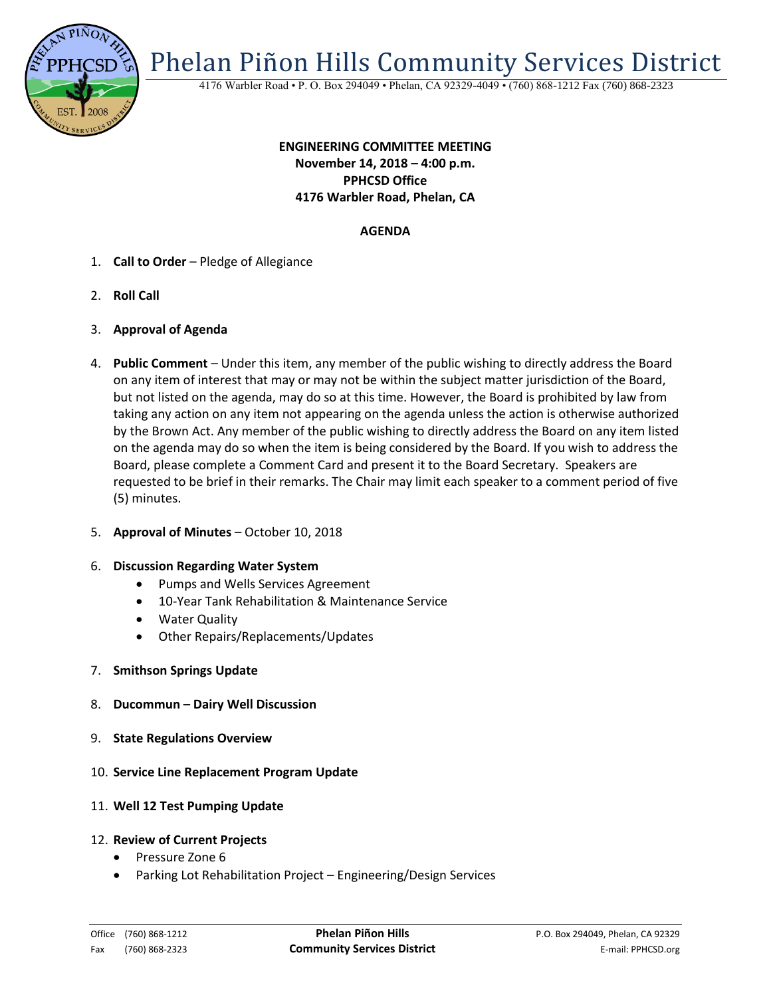

Phelan Piñon Hills Community Services District

4176 Warbler Road • P. O. Box 294049 • Phelan, CA 92329-4049 • (760) 868-1212 Fax (760) 868-2323

# **ENGINEERING COMMITTEE MEETING November 14, 2018 – 4:00 p.m. PPHCSD Office 4176 Warbler Road, Phelan, CA**

## **AGENDA**

- 1. **Call to Order** Pledge of Allegiance
- 2. **Roll Call**
- 3. **Approval of Agenda**
- 4. **Public Comment**  Under this item, any member of the public wishing to directly address the Board on any item of interest that may or may not be within the subject matter jurisdiction of the Board, but not listed on the agenda, may do so at this time. However, the Board is prohibited by law from taking any action on any item not appearing on the agenda unless the action is otherwise authorized by the Brown Act. Any member of the public wishing to directly address the Board on any item listed on the agenda may do so when the item is being considered by the Board. If you wish to address the Board, please complete a Comment Card and present it to the Board Secretary. Speakers are requested to be brief in their remarks. The Chair may limit each speaker to a comment period of five (5) minutes.
- 5. **Approval of Minutes**  October 10, 2018

#### 6. **Discussion Regarding Water System**

- Pumps and Wells Services Agreement
- 10-Year Tank Rehabilitation & Maintenance Service
- Water Quality
- Other Repairs/Replacements/Updates
- 7. **Smithson Springs Update**
- 8. **Ducommun – Dairy Well Discussion**
- 9. **State Regulations Overview**
- 10. **Service Line Replacement Program Update**
- 11. **Well 12 Test Pumping Update**

#### 12. **Review of Current Projects**

- Pressure Zone 6
- Parking Lot Rehabilitation Project Engineering/Design Services